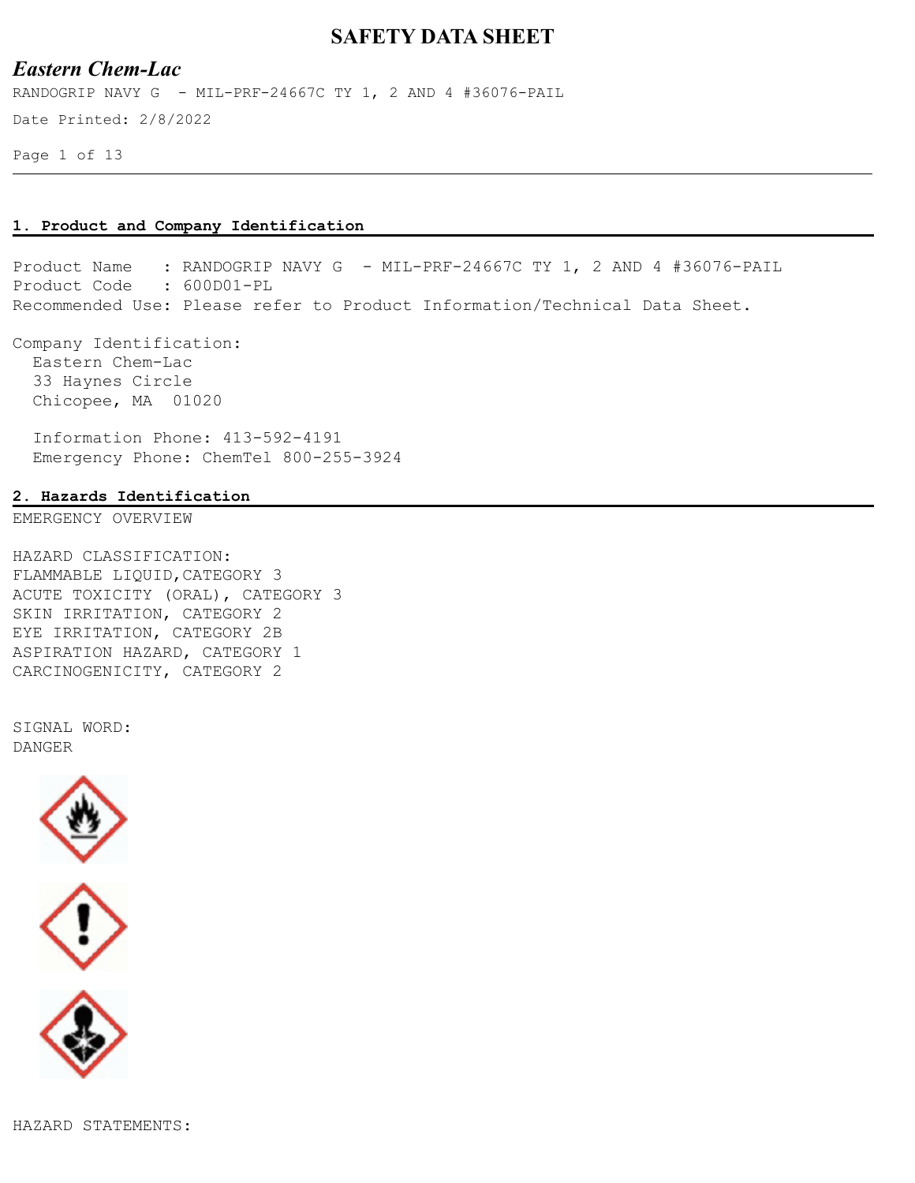### *Eastern Chem-Lac*

RANDOGRIP NAVY G - MIL-PRF-24667C TY 1, 2 AND 4 #36076-PAIL

Date Printed: 2/8/2022

Page 1 of 13

#### **1. Product and Company Identification**

Product Name : RANDOGRIP NAVY G - MIL-PRF-24667C TY 1, 2 AND 4 #36076-PAIL Product Code : 600D01-PL Recommended Use: Please refer to Product Information/Technical Data Sheet.

Company Identification: Eastern Chem-Lac 33 Haynes Circle Chicopee, MA 01020

 Information Phone: 413-592-4191 Emergency Phone: ChemTel 800-255-3924

#### **2. Hazards Identification**

EMERGENCY OVERVIEW

HAZARD CLASSIFICATION: FLAMMABLE LIQUID,CATEGORY 3 ACUTE TOXICITY (ORAL), CATEGORY 3 SKIN IRRITATION, CATEGORY 2 EYE IRRITATION, CATEGORY 2B ASPIRATION HAZARD, CATEGORY 1 CARCINOGENICITY, CATEGORY 2

SIGNAL WORD: DANGER



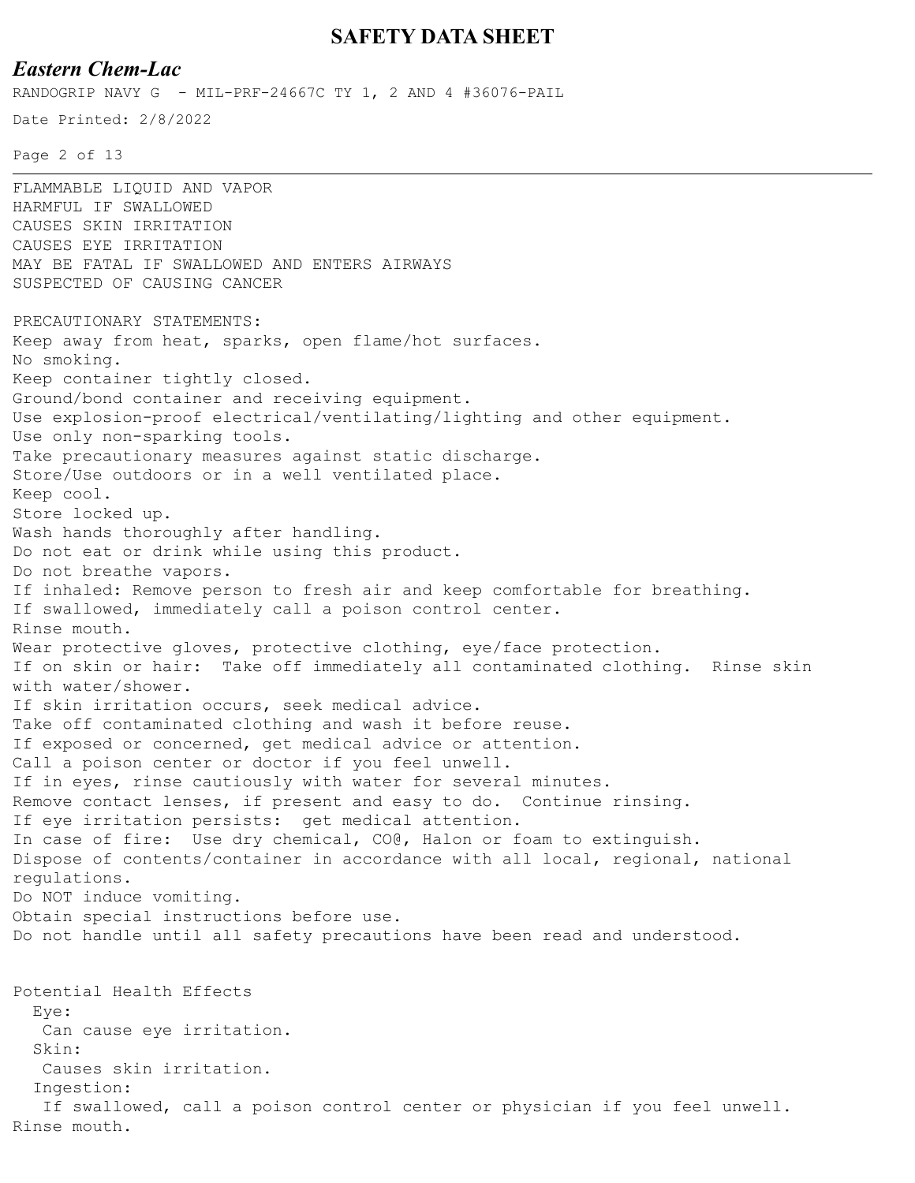### *Eastern Chem-Lac*

RANDOGRIP NAVY G - MIL-PRF-24667C TY 1, 2 AND 4 #36076-PAIL

Date Printed: 2/8/2022

Page 2 of 13

FLAMMABLE LIQUID AND VAPOR HARMFUL IF SWALLOWED CAUSES SKIN IRRITATION CAUSES EYE IRRITATION MAY BE FATAL IF SWALLOWED AND ENTERS AIRWAYS SUSPECTED OF CAUSING CANCER PRECAUTIONARY STATEMENTS: Keep away from heat, sparks, open flame/hot surfaces. No smoking. Keep container tightly closed. Ground/bond container and receiving equipment. Use explosion-proof electrical/ventilating/lighting and other equipment. Use only non-sparking tools. Take precautionary measures against static discharge. Store/Use outdoors or in a well ventilated place. Keep cool. Store locked up. Wash hands thoroughly after handling. Do not eat or drink while using this product. Do not breathe vapors. If inhaled: Remove person to fresh air and keep comfortable for breathing. If swallowed, immediately call a poison control center. Rinse mouth. Wear protective gloves, protective clothing, eye/face protection. If on skin or hair: Take off immediately all contaminated clothing. Rinse skin with water/shower. If skin irritation occurs, seek medical advice. Take off contaminated clothing and wash it before reuse. If exposed or concerned, get medical advice or attention. Call a poison center or doctor if you feel unwell. If in eyes, rinse cautiously with water for several minutes. Remove contact lenses, if present and easy to do. Continue rinsing. If eye irritation persists: get medical attention. In case of fire: Use dry chemical, CO@, Halon or foam to extinguish. Dispose of contents/container in accordance with all local, regional, national regulations. Do NOT induce vomiting. Obtain special instructions before use. Do not handle until all safety precautions have been read and understood. Potential Health Effects Eye: Can cause eye irritation. Skin: Causes skin irritation. Ingestion: If swallowed, call a poison control center or physician if you feel unwell. Rinse mouth.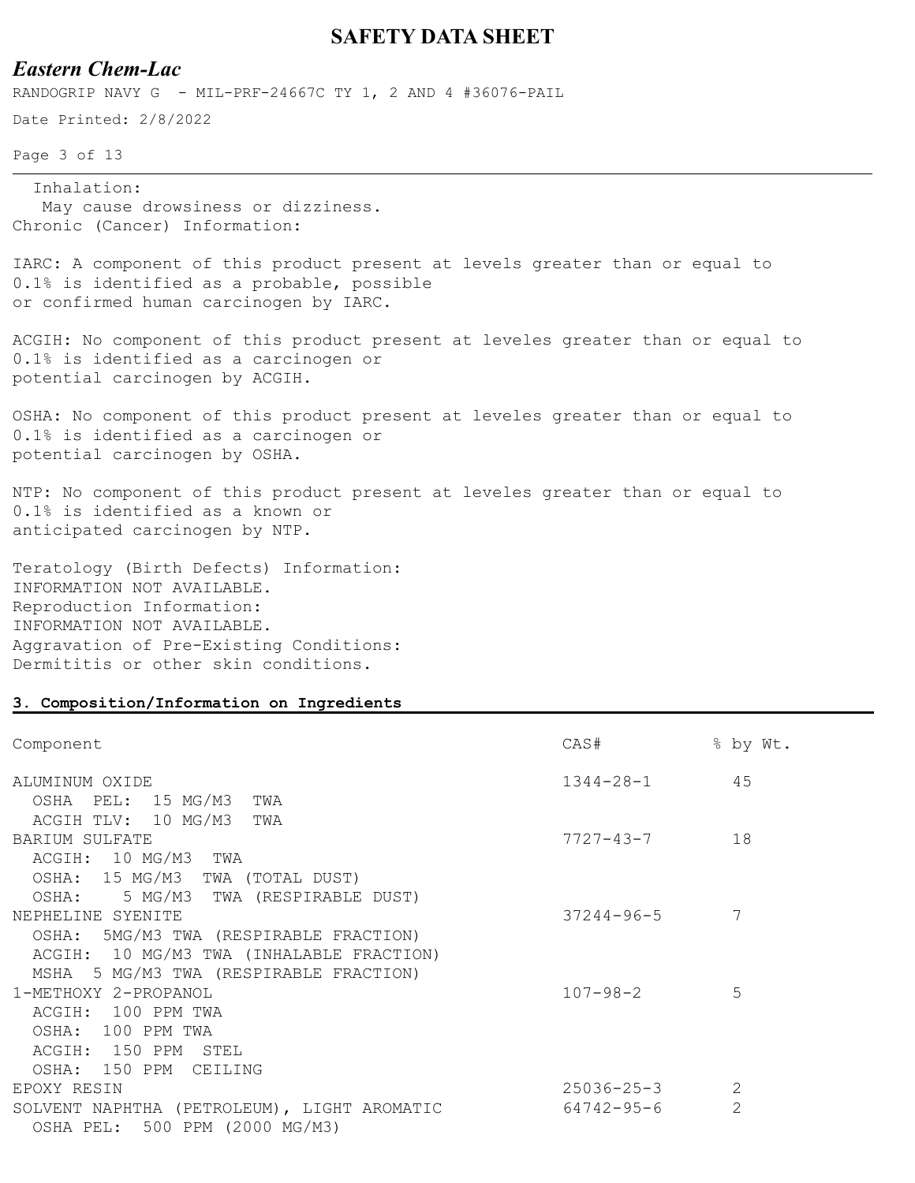## *Eastern Chem-Lac*

RANDOGRIP NAVY G - MIL-PRF-24667C TY 1, 2 AND 4 #36076-PAIL

Date Printed: 2/8/2022

Page 3 of 13

Inhalation:

 May cause drowsiness or dizziness. Chronic (Cancer) Information:

IARC: A component of this product present at levels greater than or equal to 0.1% is identified as a probable, possible or confirmed human carcinogen by IARC.

ACGIH: No component of this product present at leveles greater than or equal to 0.1% is identified as a carcinogen or potential carcinogen by ACGIH.

OSHA: No component of this product present at leveles greater than or equal to 0.1% is identified as a carcinogen or potential carcinogen by OSHA.

NTP: No component of this product present at leveles greater than or equal to 0.1% is identified as a known or anticipated carcinogen by NTP.

Teratology (Birth Defects) Information: INFORMATION NOT AVAILABLE. Reproduction Information: INFORMATION NOT AVAILABLE. Aggravation of Pre-Existing Conditions: Dermititis or other skin conditions.

#### **3. Composition/Information on Ingredients**

| Component                                               | CAS#               | % by Wt.      |
|---------------------------------------------------------|--------------------|---------------|
| ALUMINUM OXIDE                                          | $1344 - 28 - 1$ 45 |               |
| OSHA PEL: 15 MG/M3<br>TWA<br>ACGIH TLV: 10 MG/M3<br>TWA |                    |               |
| BARIUM SULFATE                                          | 7727-43-7          | 18            |
| ACGIH: 10 MG/M3 TWA                                     |                    |               |
| OSHA: 15 MG/M3 TWA (TOTAL DUST)                         |                    |               |
| OSHA: 5 MG/M3 TWA (RESPIRABLE DUST)                     |                    |               |
| NEPHELINE SYENITE                                       | $37244 - 96 - 5$   | 7             |
| OSHA: 5MG/M3 TWA (RESPIRABLE FRACTION)                  |                    |               |
| ACGIH: 10 MG/M3 TWA (INHALABLE FRACTION)                |                    |               |
| MSHA 5 MG/M3 TWA (RESPIRABLE FRACTION)                  |                    |               |
| 1-METHOXY 2-PROPANOL                                    | $107 - 98 - 2$     | 5             |
| ACGIH: 100 PPM TWA                                      |                    |               |
| OSHA: 100 PPM TWA                                       |                    |               |
| ACGIH: 150 PPM STEL                                     |                    |               |
| OSHA: 150 PPM CEILING                                   |                    |               |
| EPOXY RESIN                                             | $25036 - 25 - 3$   |               |
| SOLVENT NAPHTHA (PETROLEUM), LIGHT AROMATIC             | 64742-95-6         | $\mathcal{L}$ |
| OSHA PEL: 500 PPM (2000 MG/M3)                          |                    |               |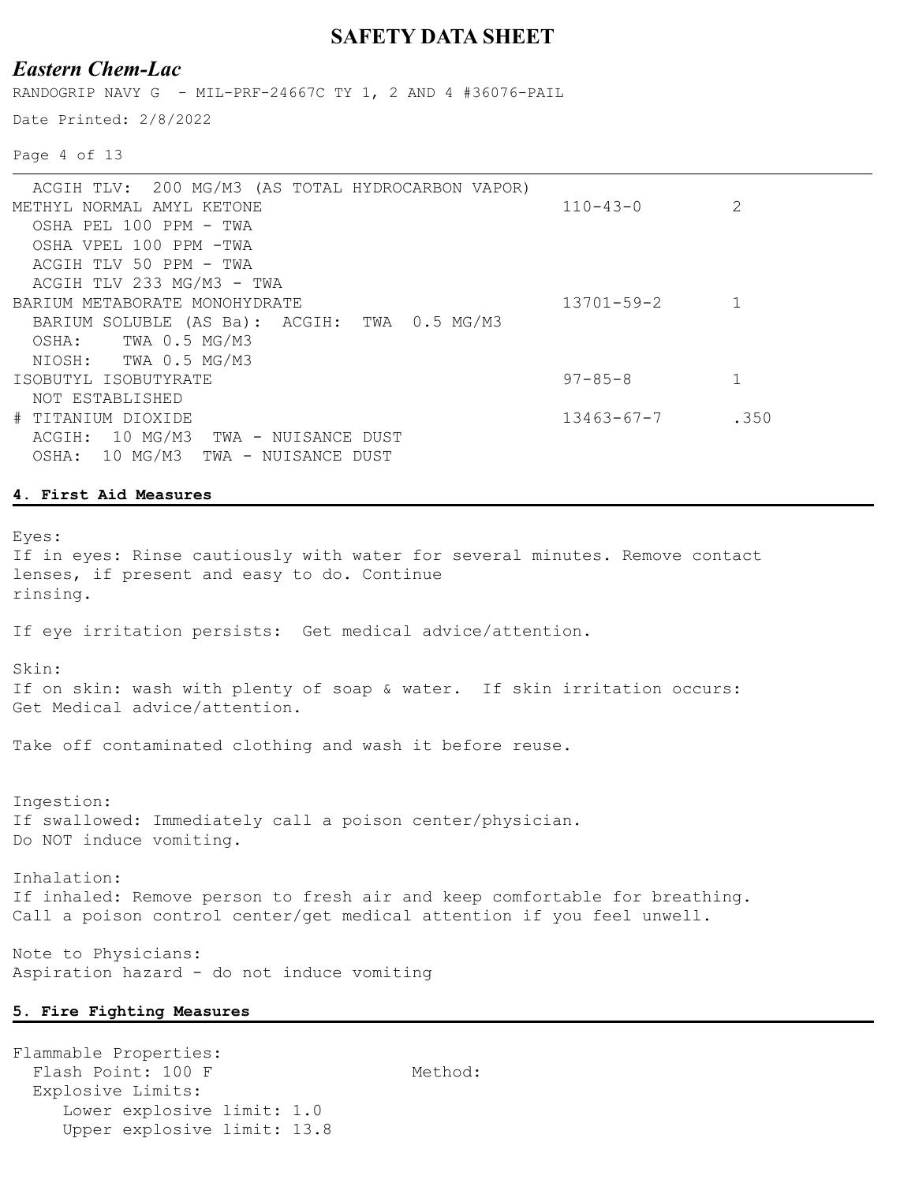### *Eastern Chem-Lac*

RANDOGRIP NAVY G - MIL-PRF-24667C TY 1, 2 AND 4 #36076-PAIL

Date Printed: 2/8/2022

Page 4 of 13

| ACGIH TLV: 200 MG/M3 (AS TOTAL HYDROCARBON VAPOR) |                  |      |
|---------------------------------------------------|------------------|------|
| METHYL NORMAL AMYL KETONE                         | $110 - 43 - 0$   |      |
| OSHA PEL 100 PPM - TWA                            |                  |      |
| OSHA VPEL 100 PPM -TWA                            |                  |      |
| ACGIH TLV 50 PPM - TWA                            |                  |      |
| ACGIH TLV 233 MG/M3 - TWA                         |                  |      |
| BARIUM METABORATE MONOHYDRATE                     | $13701 - 59 - 2$ |      |
| BARIUM SOLUBLE (AS Ba): ACGIH: TWA 0.5 MG/M3      |                  |      |
| TWA 0.5 MG/M3<br>OSHA:                            |                  |      |
| TWA 0.5 MG/M3<br>NIOSH:                           |                  |      |
| ISOBUTYL ISOBUTYRATE                              | $97 - 85 - 8$    |      |
| NOT ESTABLISHED                                   |                  |      |
| # TITANIUM DIOXIDE                                | 13463-67-7       | .350 |
| ACGIH: 10 MG/M3<br>TWA - NUISANCE DUST            |                  |      |
| 10 MG/M3 TWA - NUISANCE DUST<br>OSHA:             |                  |      |
|                                                   |                  |      |

#### **4. First Aid Measures**

Eyes:

If in eyes: Rinse cautiously with water for several minutes. Remove contact lenses, if present and easy to do. Continue rinsing.

If eye irritation persists: Get medical advice/attention.

#### Skin:

If on skin: wash with plenty of soap & water. If skin irritation occurs: Get Medical advice/attention.

Take off contaminated clothing and wash it before reuse.

Ingestion: If swallowed: Immediately call a poison center/physician. Do NOT induce vomiting.

Inhalation: If inhaled: Remove person to fresh air and keep comfortable for breathing. Call a poison control center/get medical attention if you feel unwell.

Note to Physicians: Aspiration hazard - do not induce vomiting

#### **5. Fire Fighting Measures**

Flammable Properties: Flash Point: 100 F Method: Explosive Limits: Lower explosive limit: 1.0 Upper explosive limit: 13.8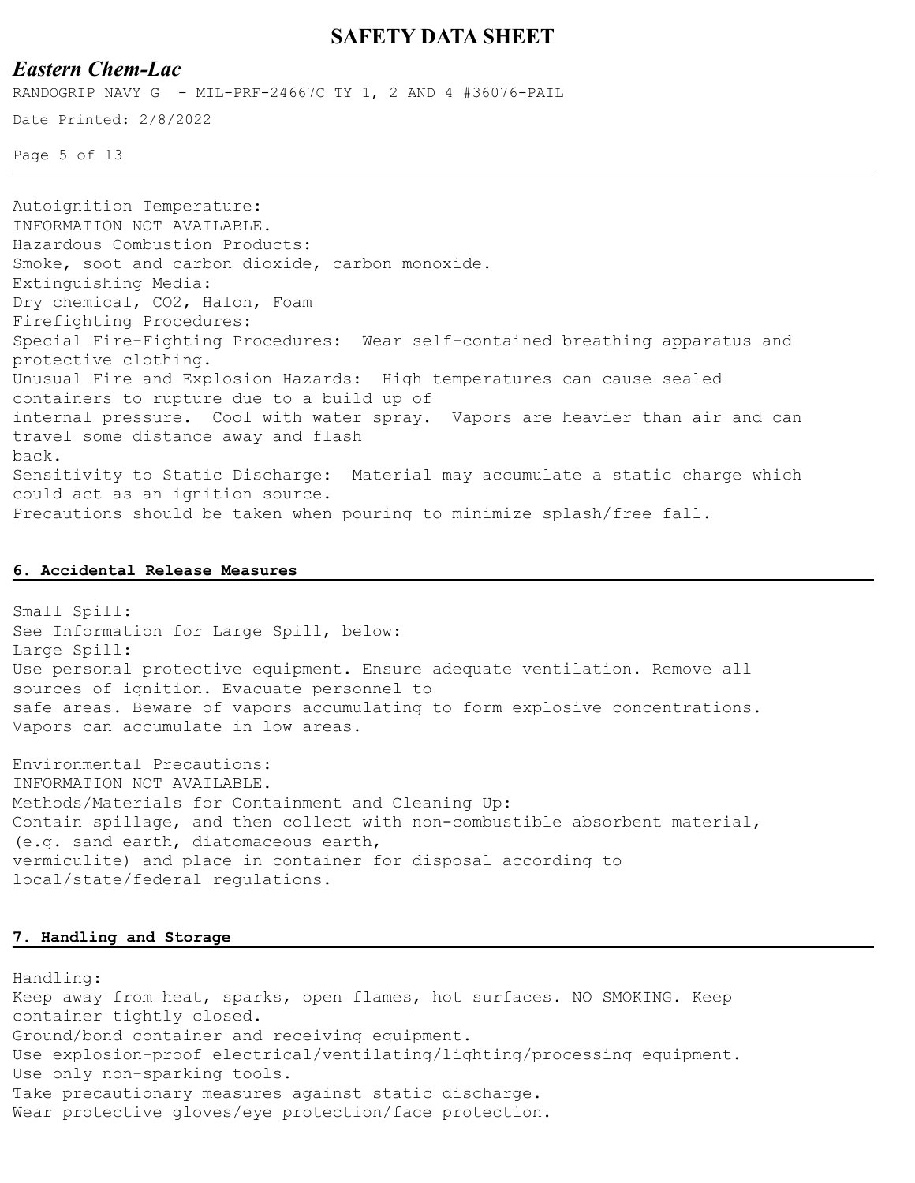### *Eastern Chem-Lac*

RANDOGRIP NAVY G - MIL-PRF-24667C TY 1, 2 AND 4 #36076-PAIL

Date Printed: 2/8/2022

Page 5 of 13

Autoignition Temperature: INFORMATION NOT AVAILABLE. Hazardous Combustion Products: Smoke, soot and carbon dioxide, carbon monoxide. Extinguishing Media: Dry chemical, CO2, Halon, Foam Firefighting Procedures: Special Fire-Fighting Procedures: Wear self-contained breathing apparatus and protective clothing. Unusual Fire and Explosion Hazards: High temperatures can cause sealed containers to rupture due to a build up of internal pressure. Cool with water spray. Vapors are heavier than air and can travel some distance away and flash back. Sensitivity to Static Discharge: Material may accumulate a static charge which could act as an ignition source. Precautions should be taken when pouring to minimize splash/free fall.

#### **6. Accidental Release Measures**

Small Spill: See Information for Large Spill, below: Large Spill: Use personal protective equipment. Ensure adequate ventilation. Remove all sources of ignition. Evacuate personnel to safe areas. Beware of vapors accumulating to form explosive concentrations. Vapors can accumulate in low areas.

Environmental Precautions: INFORMATION NOT AVAILABLE. Methods/Materials for Containment and Cleaning Up: Contain spillage, and then collect with non-combustible absorbent material, (e.g. sand earth, diatomaceous earth, vermiculite) and place in container for disposal according to local/state/federal regulations.

#### **7. Handling and Storage**

Handling: Keep away from heat, sparks, open flames, hot surfaces. NO SMOKING. Keep container tightly closed. Ground/bond container and receiving equipment. Use explosion-proof electrical/ventilating/lighting/processing equipment. Use only non-sparking tools. Take precautionary measures against static discharge. Wear protective gloves/eye protection/face protection.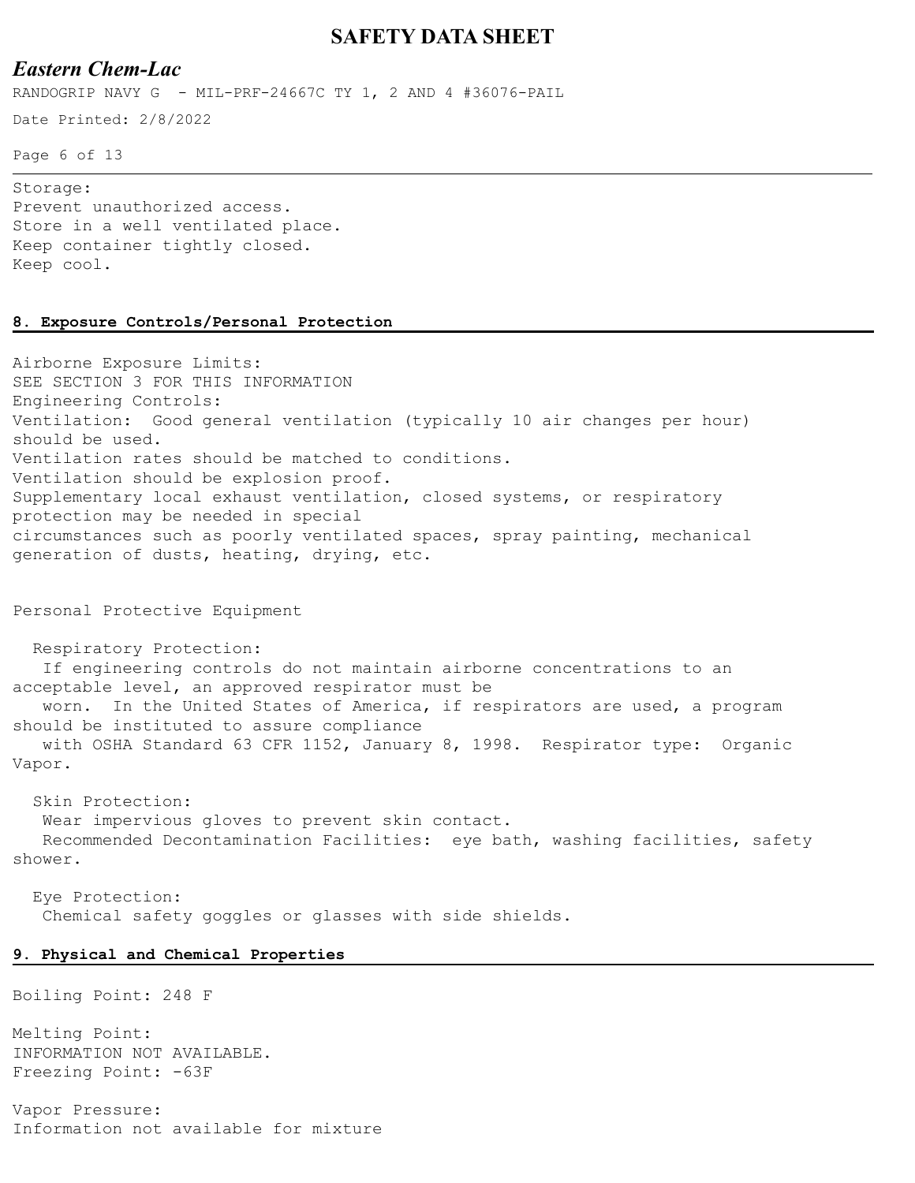### *Eastern Chem-Lac*

RANDOGRIP NAVY G - MIL-PRF-24667C TY 1, 2 AND 4 #36076-PAIL

Date Printed: 2/8/2022

Page 6 of 13

Storage: Prevent unauthorized access. Store in a well ventilated place. Keep container tightly closed. Keep cool.

#### **8. Exposure Controls/Personal Protection**

Airborne Exposure Limits: SEE SECTION 3 FOR THIS INFORMATION Engineering Controls: Ventilation: Good general ventilation (typically 10 air changes per hour) should be used. Ventilation rates should be matched to conditions. Ventilation should be explosion proof. Supplementary local exhaust ventilation, closed systems, or respiratory protection may be needed in special circumstances such as poorly ventilated spaces, spray painting, mechanical generation of dusts, heating, drying, etc.

Personal Protective Equipment

 Respiratory Protection: If engineering controls do not maintain airborne concentrations to an acceptable level, an approved respirator must be worn. In the United States of America, if respirators are used, a program should be instituted to assure compliance with OSHA Standard 63 CFR 1152, January 8, 1998. Respirator type: Organic Vapor.

 Skin Protection: Wear impervious gloves to prevent skin contact.

 Recommended Decontamination Facilities: eye bath, washing facilities, safety shower.

 Eye Protection: Chemical safety goggles or glasses with side shields.

#### **9. Physical and Chemical Properties**

Boiling Point: 248 F

Melting Point: INFORMATION NOT AVAILABLE. Freezing Point: -63F

Vapor Pressure: Information not available for mixture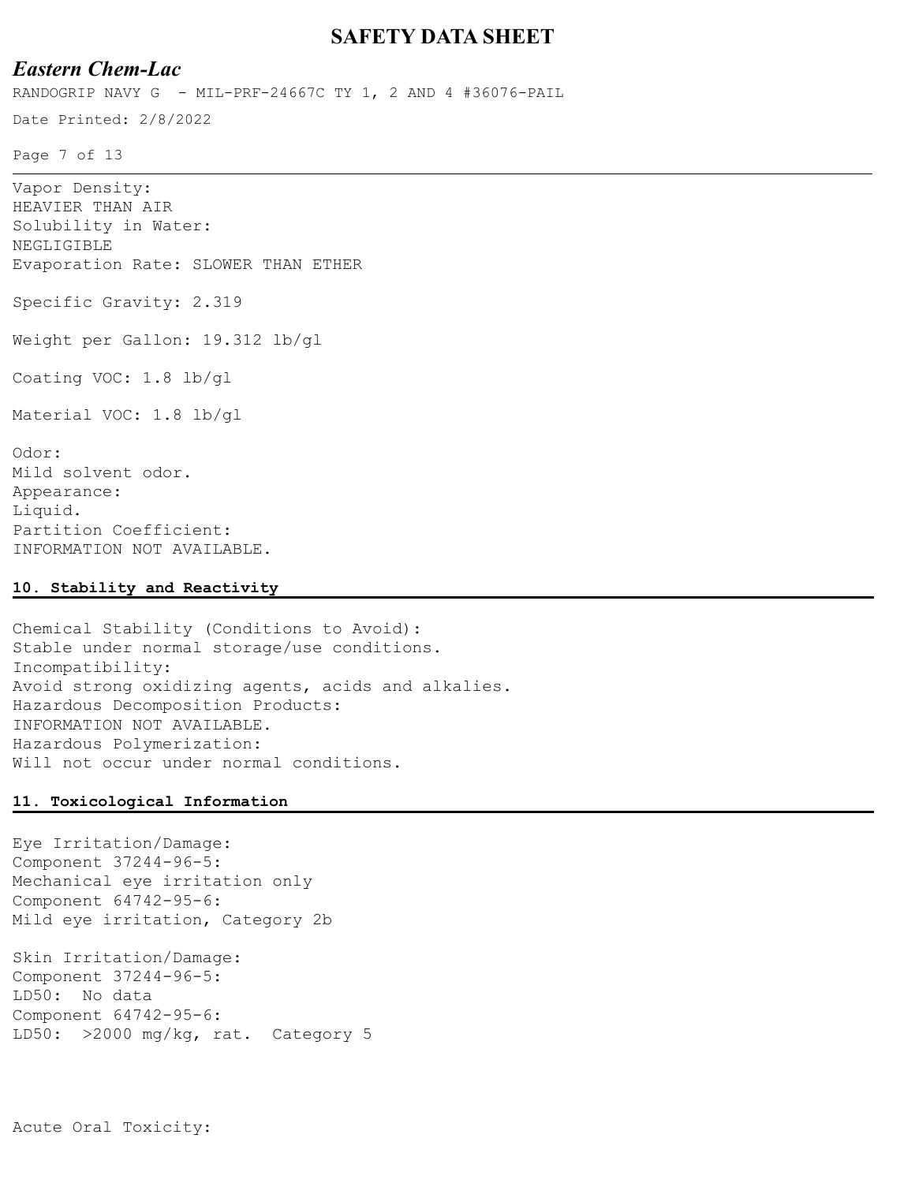### *Eastern Chem-Lac*

RANDOGRIP NAVY G - MIL-PRF-24667C TY 1, 2 AND 4 #36076-PAIL

Date Printed: 2/8/2022

Page 7 of 13

| Vapor Density:                      |
|-------------------------------------|
| HEAVIER THAN AIR                    |
| Solubility in Water:                |
| NEGLIGIBLE                          |
| Evaporation Rate: SLOWER THAN ETHER |
| Specific Gravity: 2.319             |
| Weight per Gallon: 19.312 lb/gl     |
| Coating VOC: 1.8 lb/gl              |
| Material VOC: 1.8 lb/gl             |
| Odor:                               |
| Mild solvent odor.                  |
| Appearance:                         |
| Liquid.                             |
| Partition Coefficient:              |

#### **10. Stability and Reactivity**

INFORMATION NOT AVAILABLE.

Chemical Stability (Conditions to Avoid): Stable under normal storage/use conditions. Incompatibility: Avoid strong oxidizing agents, acids and alkalies. Hazardous Decomposition Products: INFORMATION NOT AVAILABLE. Hazardous Polymerization: Will not occur under normal conditions.

#### **11. Toxicological Information**

Eye Irritation/Damage: Component 37244-96-5: Mechanical eye irritation only Component 64742-95-6: Mild eye irritation, Category 2b

Skin Irritation/Damage: Component 37244-96-5: LD50: No data Component 64742-95-6: LD50: >2000 mg/kg, rat. Category 5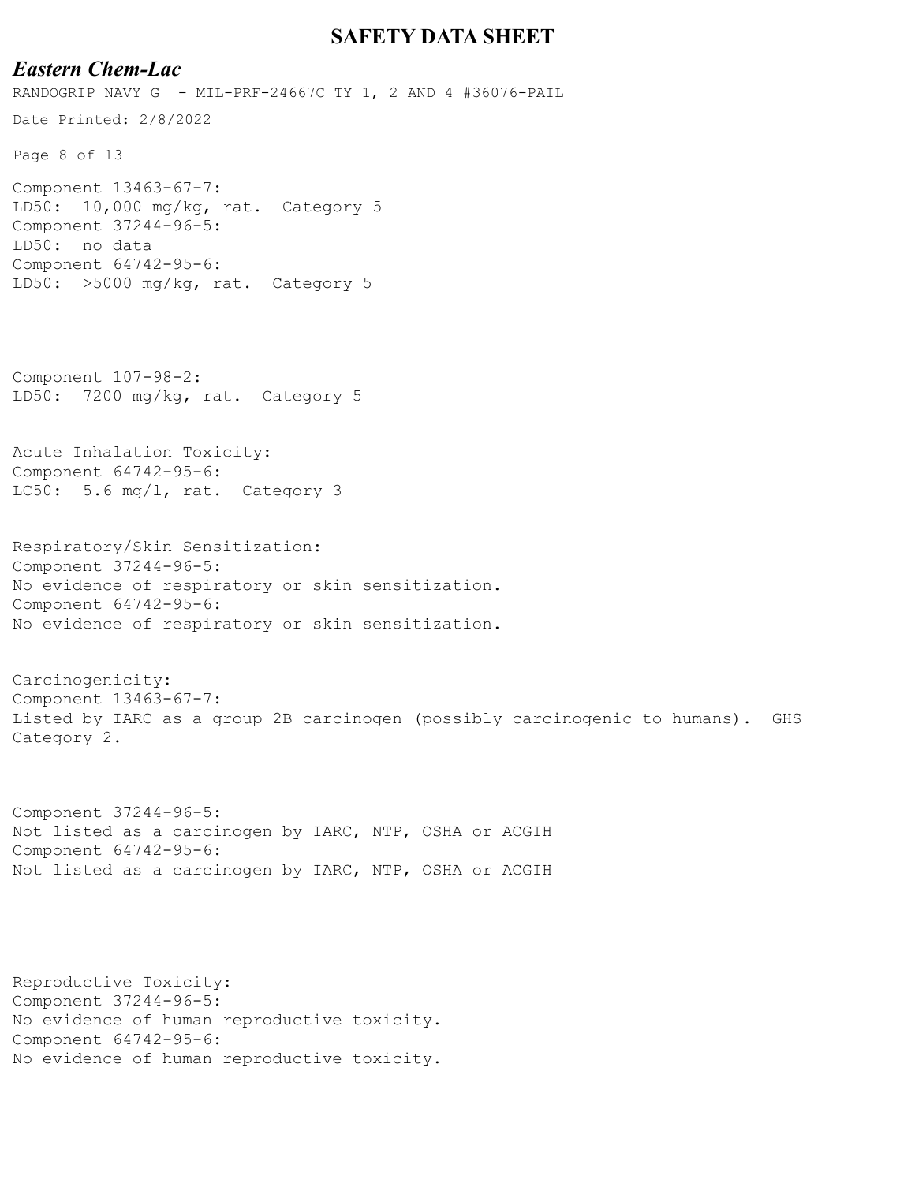## *Eastern Chem-Lac*

Date Printed: 2/8/2022 RANDOGRIP NAVY G - MIL-PRF-24667C TY 1, 2 AND 4 #36076-PAIL

Page 8 of 13

Component 13463-67-7: LD50: 10,000 mg/kg, rat. Category 5 Component 37244-96-5: LD50: no data Component 64742-95-6: LD50: >5000 mg/kg, rat. Category 5

Component 107-98-2: LD50: 7200 mg/kg, rat. Category 5

Acute Inhalation Toxicity: Component 64742-95-6: LC50: 5.6 mg/l, rat. Category 3

Respiratory/Skin Sensitization: Component 37244-96-5: No evidence of respiratory or skin sensitization. Component 64742-95-6: No evidence of respiratory or skin sensitization.

Carcinogenicity: Component 13463-67-7: Listed by IARC as a group 2B carcinogen (possibly carcinogenic to humans). GHS Category 2.

Component 37244-96-5: Not listed as a carcinogen by IARC, NTP, OSHA or ACGIH Component 64742-95-6: Not listed as a carcinogen by IARC, NTP, OSHA or ACGIH

Reproductive Toxicity: Component 37244-96-5: No evidence of human reproductive toxicity. Component 64742-95-6: No evidence of human reproductive toxicity.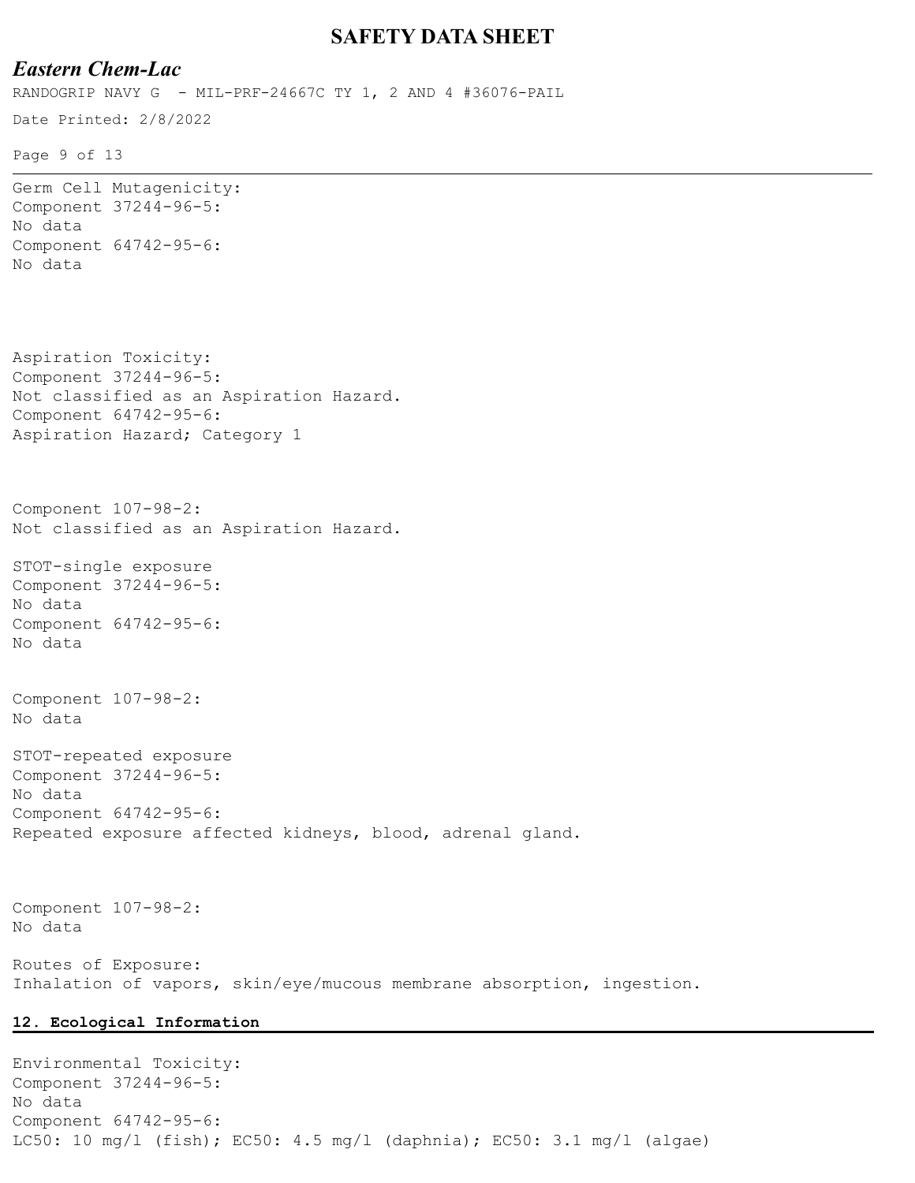## *Eastern Chem-Lac*

RANDOGRIP NAVY G - MIL-PRF-24667C TY 1, 2 AND 4 #36076-PAIL

```
Date Printed: 2/8/2022
```
Page 9 of 13

```
Germ Cell Mutagenicity:
Component 37244-96-5:
No data
Component 64742-95-6:
No data
Aspiration Toxicity:
Component 37244-96-5:
Not classified as an Aspiration Hazard.
Component 64742-95-6:
Aspiration Hazard; Category 1
Component 107-98-2:
Not classified as an Aspiration Hazard.
STOT-single exposure
Component 37244-96-5:
No data
Component 64742-95-6:
No data
Component 107-98-2:
No data
STOT-repeated exposure
Component 37244-96-5:
No data
Component 64742-95-6:
Repeated exposure affected kidneys, blood, adrenal gland.
Component 107-98-2:
No data
Routes of Exposure:
Inhalation of vapors, skin/eye/mucous membrane absorption, ingestion.
12. Ecological Information
```
Environmental Toxicity: Component 37244-96-5: No data Component 64742-95-6: LC50: 10 mg/l (fish); EC50: 4.5 mg/l (daphnia); EC50: 3.1 mg/l (algae)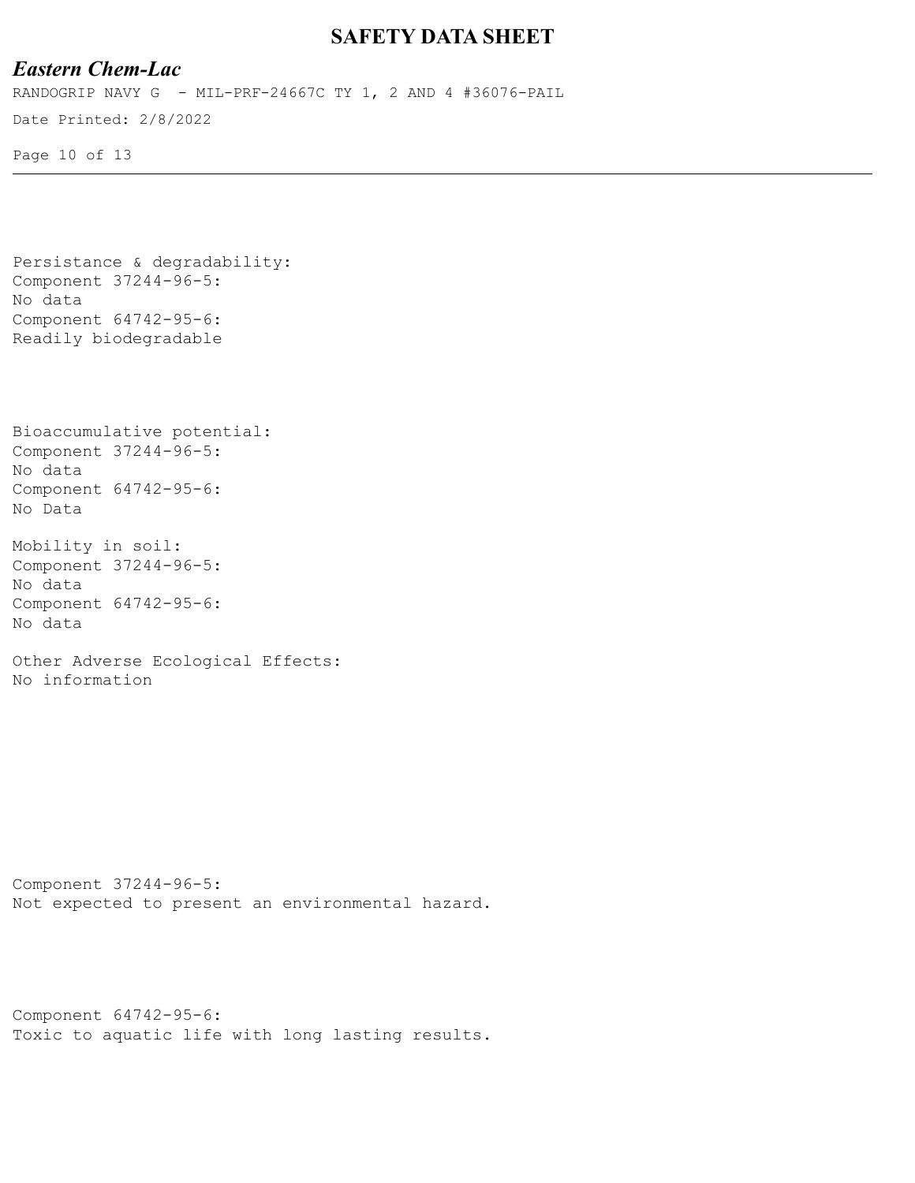# *Eastern Chem-Lac*

Date Printed: 2/8/2022 RANDOGRIP NAVY G - MIL-PRF-24667C TY 1, 2 AND 4 #36076-PAIL

Page 10 of 13

```
Persistance & degradability:
Component 37244-96-5:
No data
Component 64742-95-6:
Readily biodegradable
```

```
Bioaccumulative potential:
Component 37244-96-5:
No data
Component 64742-95-6:
No Data
```

```
Mobility in soil:
Component 37244-96-5:
No data
Component 64742-95-6:
No data
```

```
Other Adverse Ecological Effects:
No information
```

```
Component 37244-96-5:
Not expected to present an environmental hazard.
```

```
Component 64742-95-6:
Toxic to aquatic life with long lasting results.
```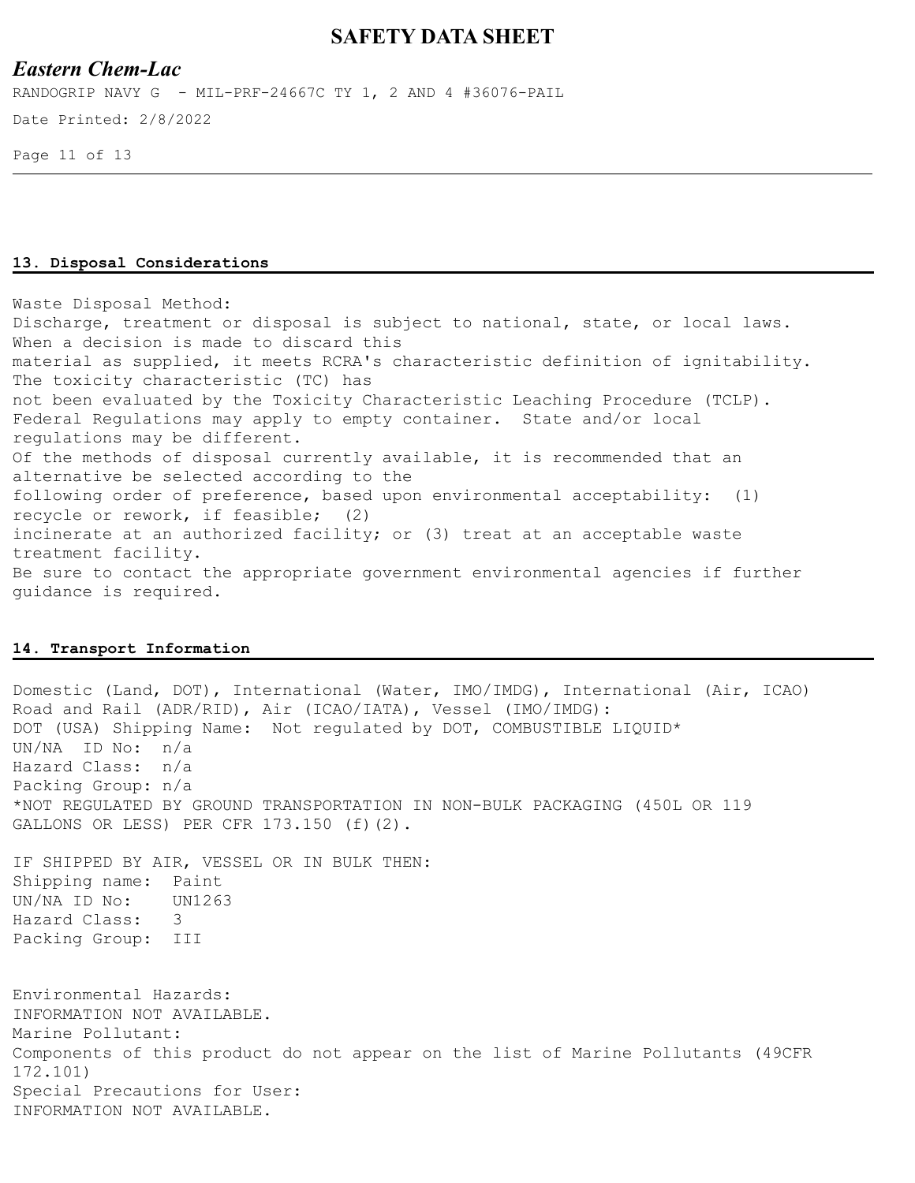### *Eastern Chem-Lac*

Date Printed: 2/8/2022 RANDOGRIP NAVY G - MIL-PRF-24667C TY 1, 2 AND 4 #36076-PAIL

Page 11 of 13

#### **13. Disposal Considerations**

Waste Disposal Method: Discharge, treatment or disposal is subject to national, state, or local laws. When a decision is made to discard this material as supplied, it meets RCRA's characteristic definition of ignitability. The toxicity characteristic (TC) has not been evaluated by the Toxicity Characteristic Leaching Procedure (TCLP). Federal Regulations may apply to empty container. State and/or local regulations may be different. Of the methods of disposal currently available, it is recommended that an alternative be selected according to the following order of preference, based upon environmental acceptability: (1) recycle or rework, if feasible; (2) incinerate at an authorized facility; or (3) treat at an acceptable waste treatment facility. Be sure to contact the appropriate government environmental agencies if further guidance is required.

#### **14. Transport Information**

Domestic (Land, DOT), International (Water, IMO/IMDG), International (Air, ICAO) Road and Rail (ADR/RID), Air (ICAO/IATA), Vessel (IMO/IMDG): DOT (USA) Shipping Name: Not regulated by DOT, COMBUSTIBLE LIQUID\* UN/NA ID No: n/a Hazard Class: n/a Packing Group: n/a \*NOT REGULATED BY GROUND TRANSPORTATION IN NON-BULK PACKAGING (450L OR 119 GALLONS OR LESS) PER CFR 173.150 (f)(2). IF SHIPPED BY AIR, VESSEL OR IN BULK THEN: Shipping name: Paint UN/NA ID No: UN1263 Hazard Class: 3 Packing Group: III Environmental Hazards: INFORMATION NOT AVAILABLE. Marine Pollutant: Components of this product do not appear on the list of Marine Pollutants (49CFR 172.101) Special Precautions for User: INFORMATION NOT AVAILABLE.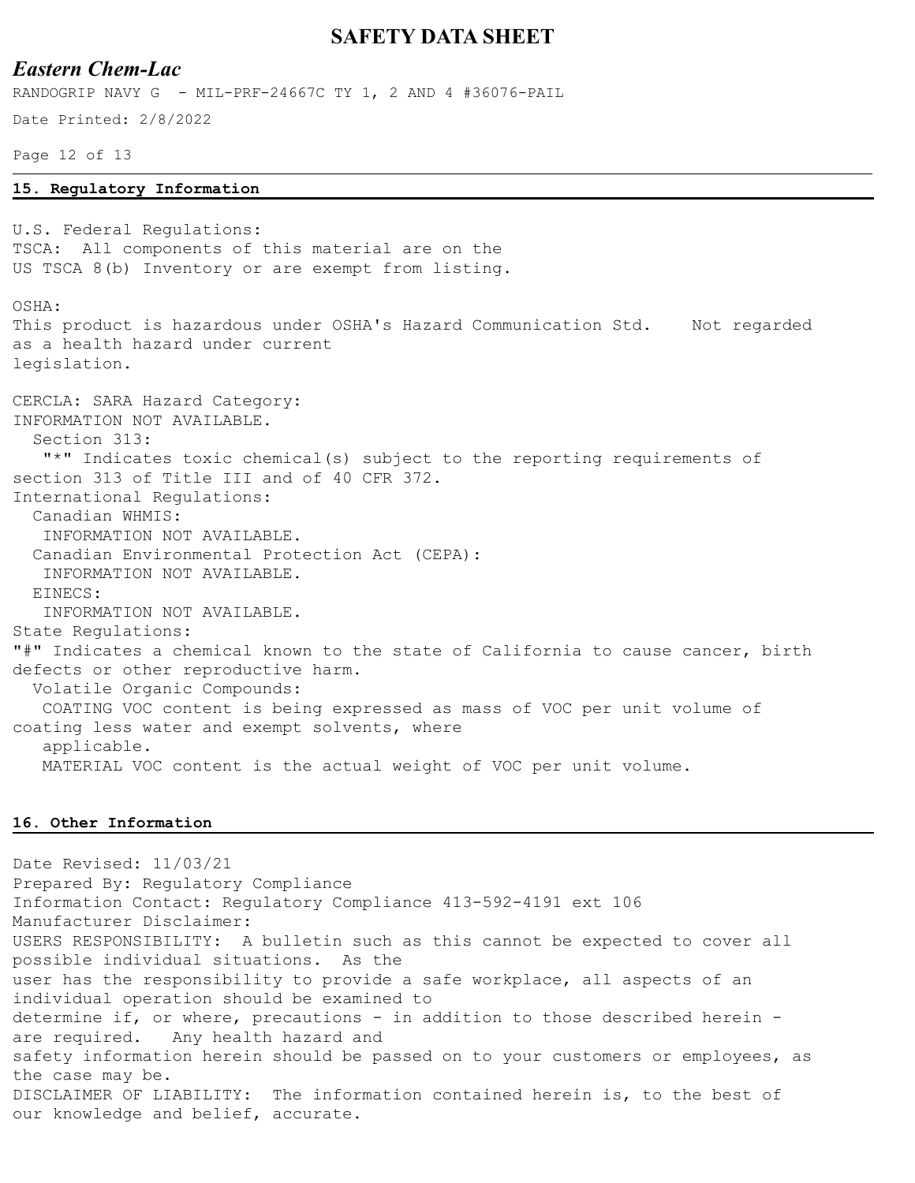### *Eastern Chem-Lac*

RANDOGRIP NAVY G - MIL-PRF-24667C TY 1, 2 AND 4 #36076-PAIL

Date Printed: 2/8/2022

Page 12 of 13

#### **15. Regulatory Information**

U.S. Federal Regulations: TSCA: All components of this material are on the US TSCA 8(b) Inventory or are exempt from listing. OSHA: This product is hazardous under OSHA's Hazard Communication Std. Not regarded as a health hazard under current legislation. CERCLA: SARA Hazard Category: INFORMATION NOT AVAILABLE. Section 313: "\*" Indicates toxic chemical(s) subject to the reporting requirements of section 313 of Title III and of 40 CFR 372. International Regulations: Canadian WHMIS: INFORMATION NOT AVAILABLE. Canadian Environmental Protection Act (CEPA): INFORMATION NOT AVAILABLE. EINECS: INFORMATION NOT AVAILABLE. State Regulations: "#" Indicates a chemical known to the state of California to cause cancer, birth defects or other reproductive harm. Volatile Organic Compounds: COATING VOC content is being expressed as mass of VOC per unit volume of coating less water and exempt solvents, where applicable. MATERIAL VOC content is the actual weight of VOC per unit volume.

#### **16. Other Information**

Date Revised: 11/03/21 Prepared By: Regulatory Compliance Information Contact: Regulatory Compliance 413-592-4191 ext 106 Manufacturer Disclaimer: USERS RESPONSIBILITY: A bulletin such as this cannot be expected to cover all possible individual situations. As the user has the responsibility to provide a safe workplace, all aspects of an individual operation should be examined to determine if, or where, precautions - in addition to those described herein are required. Any health hazard and safety information herein should be passed on to your customers or employees, as the case may be. DISCLAIMER OF LIABILITY: The information contained herein is, to the best of our knowledge and belief, accurate.